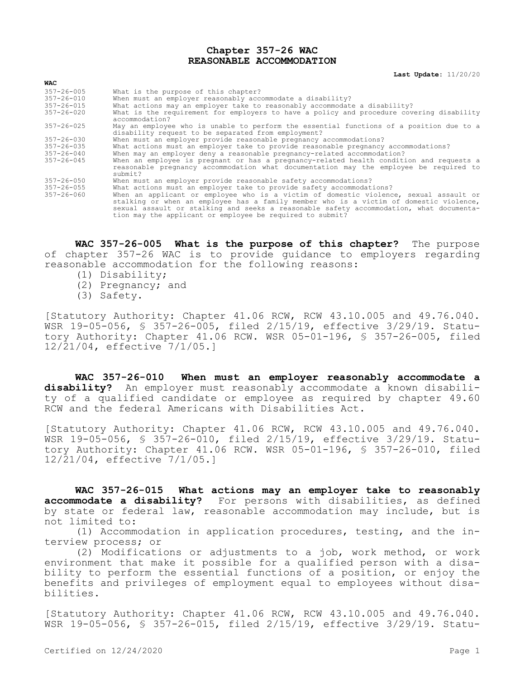## **Chapter 357-26 WAC REASONABLE ACCOMMODATION**

**Last Update:** 11/20/20

| $357 - 26 - 005$ | What is the purpose of this chapter?                                                                                                                                                                                                                                       |
|------------------|----------------------------------------------------------------------------------------------------------------------------------------------------------------------------------------------------------------------------------------------------------------------------|
| $357 - 26 - 010$ | When must an employer reasonably accommodate a disability?                                                                                                                                                                                                                 |
| $357 - 26 - 015$ | What actions may an employer take to reasonably accommodate a disability?                                                                                                                                                                                                  |
| $357 - 26 - 020$ | What is the requirement for employers to have a policy and procedure covering disability<br>accommodation?                                                                                                                                                                 |
| $357 - 26 - 025$ | May an employee who is unable to perform the essential functions of a position due to a                                                                                                                                                                                    |
|                  | disability request to be separated from employment?                                                                                                                                                                                                                        |
| $357 - 26 - 030$ | When must an employer provide reasonable pregnancy accommodations?                                                                                                                                                                                                         |
| $357 - 26 - 035$ | What actions must an employer take to provide reasonable pregnancy accommodations?                                                                                                                                                                                         |
| $357 - 26 - 040$ | When may an employer deny a reasonable pregnancy-related accommodation?                                                                                                                                                                                                    |
| $357 - 26 - 045$ | When an employee is pregnant or has a pregnancy-related health condition and reguests a<br>reasonable pregnancy accommodation what documentation may the employee be reguired to<br>submit?                                                                                |
| $357 - 26 - 050$ | When must an employer provide reasonable safety accommodations?                                                                                                                                                                                                            |
| $357 - 26 - 055$ | What actions must an employer take to provide safety accommodations?                                                                                                                                                                                                       |
| $357 - 26 - 060$ | When an applicant or employee who is a victim of domestic violence, sexual assault or<br>stalking or when an employee has a family member who is a victim of domestic violence,<br>sexual assault or stalking and seeks a reasonable safety accommodation, what documenta- |

**WAC 357-26-005 What is the purpose of this chapter?** The purpose of chapter 357-26 WAC is to provide guidance to employers regarding reasonable accommodation for the following reasons:

tion may the applicant or employee be required to submit?

- (1) Disability;
- (2) Pregnancy; and
- (3) Safety.

**WAC**

[Statutory Authority: Chapter 41.06 RCW, RCW 43.10.005 and 49.76.040. WSR 19-05-056, § 357-26-005, filed 2/15/19, effective 3/29/19. Statutory Authority: Chapter 41.06 RCW. WSR 05-01-196, § 357-26-005, filed 12/21/04, effective 7/1/05.]

**WAC 357-26-010 When must an employer reasonably accommodate a disability?** An employer must reasonably accommodate a known disability of a qualified candidate or employee as required by chapter 49.60 RCW and the federal Americans with Disabilities Act.

[Statutory Authority: Chapter 41.06 RCW, RCW 43.10.005 and 49.76.040. WSR 19-05-056, § 357-26-010, filed 2/15/19, effective 3/29/19. Statutory Authority: Chapter 41.06 RCW. WSR 05-01-196, § 357-26-010, filed 12/21/04, effective 7/1/05.]

**WAC 357-26-015 What actions may an employer take to reasonably accommodate a disability?** For persons with disabilities, as defined by state or federal law, reasonable accommodation may include, but is not limited to:

(1) Accommodation in application procedures, testing, and the interview process; or

(2) Modifications or adjustments to a job, work method, or work environment that make it possible for a qualified person with a disability to perform the essential functions of a position, or enjoy the benefits and privileges of employment equal to employees without disabilities.

[Statutory Authority: Chapter 41.06 RCW, RCW 43.10.005 and 49.76.040. WSR 19-05-056, § 357-26-015, filed 2/15/19, effective 3/29/19. Statu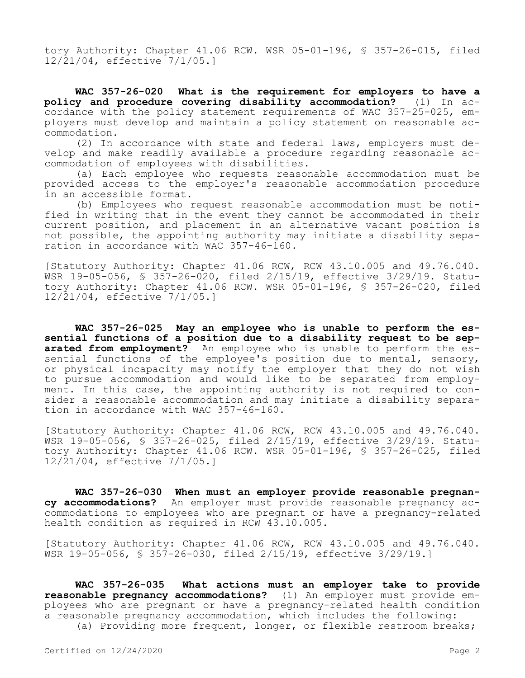tory Authority: Chapter 41.06 RCW. WSR 05-01-196, § 357-26-015, filed 12/21/04, effective 7/1/05.]

**WAC 357-26-020 What is the requirement for employers to have a policy and procedure covering disability accommodation?** (1) In accordance with the policy statement requirements of WAC 357-25-025, employers must develop and maintain a policy statement on reasonable accommodation.

(2) In accordance with state and federal laws, employers must develop and make readily available a procedure regarding reasonable accommodation of employees with disabilities.

(a) Each employee who requests reasonable accommodation must be provided access to the employer's reasonable accommodation procedure in an accessible format.

(b) Employees who request reasonable accommodation must be notified in writing that in the event they cannot be accommodated in their current position, and placement in an alternative vacant position is not possible, the appointing authority may initiate a disability separation in accordance with WAC 357-46-160.

[Statutory Authority: Chapter 41.06 RCW, RCW 43.10.005 and 49.76.040. WSR 19-05-056, § 357-26-020, filed 2/15/19, effective 3/29/19. Statutory Authority: Chapter 41.06 RCW. WSR 05-01-196, § 357-26-020, filed 12/21/04, effective 7/1/05.]

**WAC 357-26-025 May an employee who is unable to perform the essential functions of a position due to a disability request to be sep**arated from employment? An employee who is unable to perform the essential functions of the employee's position due to mental, sensory, or physical incapacity may notify the employer that they do not wish to pursue accommodation and would like to be separated from employment. In this case, the appointing authority is not required to consider a reasonable accommodation and may initiate a disability separation in accordance with WAC 357-46-160.

[Statutory Authority: Chapter 41.06 RCW, RCW 43.10.005 and 49.76.040. WSR 19-05-056, § 357-26-025, filed 2/15/19, effective 3/29/19. Statutory Authority: Chapter 41.06 RCW. WSR 05-01-196, § 357-26-025, filed 12/21/04, effective 7/1/05.]

**WAC 357-26-030 When must an employer provide reasonable pregnancy accommodations?** An employer must provide reasonable pregnancy accommodations to employees who are pregnant or have a pregnancy-related health condition as required in RCW 43.10.005.

[Statutory Authority: Chapter 41.06 RCW, RCW 43.10.005 and 49.76.040. WSR 19-05-056, § 357-26-030, filed 2/15/19, effective 3/29/19.]

**WAC 357-26-035 What actions must an employer take to provide reasonable pregnancy accommodations?** (1) An employer must provide employees who are pregnant or have a pregnancy-related health condition a reasonable pregnancy accommodation, which includes the following:

(a) Providing more frequent, longer, or flexible restroom breaks;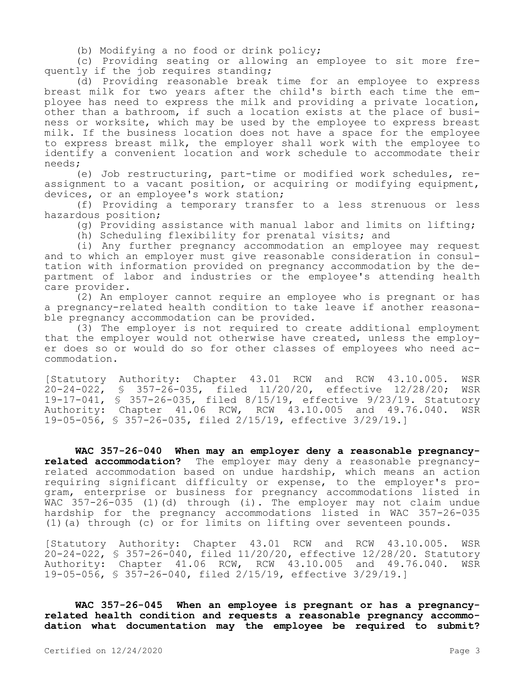(b) Modifying a no food or drink policy;

(c) Providing seating or allowing an employee to sit more frequently if the job requires standing;

(d) Providing reasonable break time for an employee to express breast milk for two years after the child's birth each time the employee has need to express the milk and providing a private location, other than a bathroom, if such a location exists at the place of business or worksite, which may be used by the employee to express breast milk. If the business location does not have a space for the employee to express breast milk, the employer shall work with the employee to identify a convenient location and work schedule to accommodate their needs;

(e) Job restructuring, part-time or modified work schedules, reassignment to a vacant position, or acquiring or modifying equipment, devices, or an employee's work station;

(f) Providing a temporary transfer to a less strenuous or less hazardous position;

(g) Providing assistance with manual labor and limits on lifting;

(h) Scheduling flexibility for prenatal visits; and

(i) Any further pregnancy accommodation an employee may request and to which an employer must give reasonable consideration in consultation with information provided on pregnancy accommodation by the department of labor and industries or the employee's attending health care provider.

(2) An employer cannot require an employee who is pregnant or has a pregnancy-related health condition to take leave if another reasonable pregnancy accommodation can be provided.

(3) The employer is not required to create additional employment that the employer would not otherwise have created, unless the employer does so or would do so for other classes of employees who need accommodation.

[Statutory Authority: Chapter 43.01 RCW and RCW 43.10.005. WSR 20-24-022, § 357-26-035, filed 11/20/20, effective 12/28/20; WSR 19-17-041, § 357-26-035, filed 8/15/19, effective 9/23/19. Statutory Authority: Chapter 41.06 RCW, RCW 43.10.005 and 49.76.040. 19-05-056, § 357-26-035, filed 2/15/19, effective 3/29/19.]

**WAC 357-26-040 When may an employer deny a reasonable pregnancyrelated accommodation?** The employer may deny a reasonable pregnancyrelated accommodation based on undue hardship, which means an action requiring significant difficulty or expense, to the employer's program, enterprise or business for pregnancy accommodations listed in WAC 357-26-035 (1)(d) through (i). The employer may not claim undue hardship for the pregnancy accommodations listed in WAC 357-26-035 (1)(a) through (c) or for limits on lifting over seventeen pounds.

[Statutory Authority: Chapter 43.01 RCW and RCW 43.10.005. WSR 20-24-022, § 357-26-040, filed 11/20/20, effective 12/28/20. Statutory<br>Authority: Chapter 41.06 RCW, RCW 43.10.005 and 49.76.040. WSR Authority: Chapter 41.06 RCW, RCW 43.10.005 and 49.76.040. 19-05-056, § 357-26-040, filed 2/15/19, effective 3/29/19.]

**WAC 357-26-045 When an employee is pregnant or has a pregnancyrelated health condition and requests a reasonable pregnancy accommodation what documentation may the employee be required to submit?**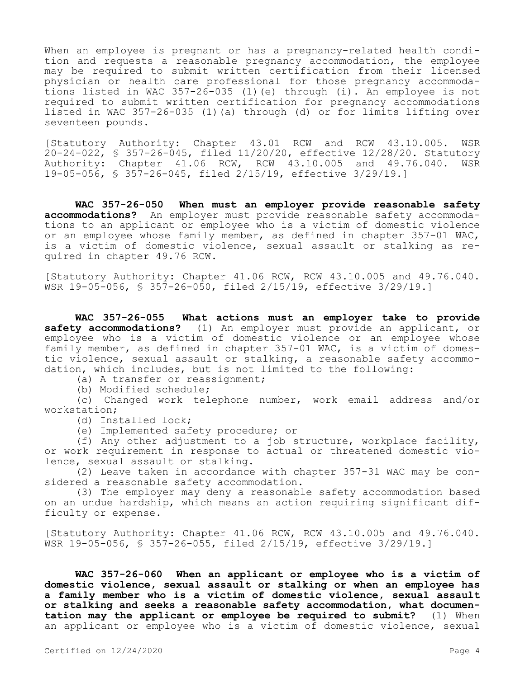When an employee is pregnant or has a pregnancy-related health condition and requests a reasonable pregnancy accommodation, the employee may be required to submit written certification from their licensed physician or health care professional for those pregnancy accommodations listed in WAC 357-26-035 (1)(e) through (i). An employee is not required to submit written certification for pregnancy accommodations listed in WAC 357-26-035 (1)(a) through (d) or for limits lifting over seventeen pounds.

[Statutory Authority: Chapter 43.01 RCW and RCW 43.10.005. WSR  $20-24-022$ , § 357-26-045, filed 11/20/20, effective 12/28/20. Statutory Authority: Chapter 41.06 RCW, RCW 43.10.005 and 49.76.040. WSR 19-05-056, § 357-26-045, filed 2/15/19, effective 3/29/19.]

**WAC 357-26-050 When must an employer provide reasonable safety accommodations?** An employer must provide reasonable safety accommodations to an applicant or employee who is a victim of domestic violence or an employee whose family member, as defined in chapter 357-01 WAC, is a victim of domestic violence, sexual assault or stalking as required in chapter 49.76 RCW.

[Statutory Authority: Chapter 41.06 RCW, RCW 43.10.005 and 49.76.040. WSR 19-05-056, § 357-26-050, filed 2/15/19, effective 3/29/19.]

**WAC 357-26-055 What actions must an employer take to provide safety accommodations?** (1) An employer must provide an applicant, or employee who is a victim of domestic violence or an employee whose family member, as defined in chapter 357-01 WAC, is a victim of domestic violence, sexual assault or stalking, a reasonable safety accommodation, which includes, but is not limited to the following:

(a) A transfer or reassignment;

(b) Modified schedule;

(c) Changed work telephone number, work email address and/or workstation;

(d) Installed lock;

(e) Implemented safety procedure; or

(f) Any other adjustment to a job structure, workplace facility, or work requirement in response to actual or threatened domestic violence, sexual assault or stalking.

(2) Leave taken in accordance with chapter 357-31 WAC may be considered a reasonable safety accommodation.

(3) The employer may deny a reasonable safety accommodation based on an undue hardship, which means an action requiring significant difficulty or expense.

[Statutory Authority: Chapter 41.06 RCW, RCW 43.10.005 and 49.76.040. WSR 19-05-056, § 357-26-055, filed 2/15/19, effective 3/29/19.]

**WAC 357-26-060 When an applicant or employee who is a victim of domestic violence, sexual assault or stalking or when an employee has a family member who is a victim of domestic violence, sexual assault or stalking and seeks a reasonable safety accommodation, what documentation may the applicant or employee be required to submit?** (1) When an applicant or employee who is a victim of domestic violence, sexual